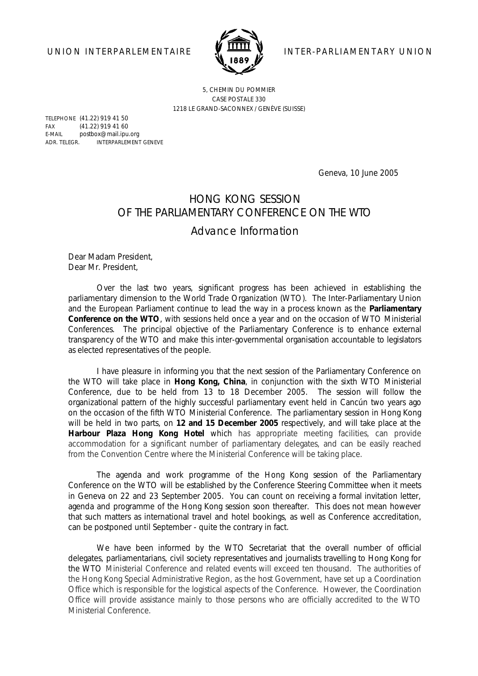

UNION INTERPARLEMENTAIRE **VEHILLE VEHICLE** INTER-PARLIAMENTARY UNION

5, CHEMIN DU POMMIER CASE POSTALE 330 1218 LE GRAND-SACONNEX / GENÈVE (SUISSE)

TELEPHONE (41.22) 919 41 50 FAX (41.22) 919 41 60 E-MAIL postbox@mail.ipu.org ADR. TELEGR. INTERPARLEMENT GENEVE

Geneva, 10 June 2005

## HONG KONG SESSION OF THE PARLIAMENTARY CONFERENCE ON THE WTO

*Advance Information*

Dear Madam President, Dear Mr. President,

Over the last two years, significant progress has been achieved in establishing the parliamentary dimension to the World Trade Organization (WTO). The Inter-Parliamentary Union and the European Parliament continue to lead the way in a process known as the **Parliamentary Conference on the WTO**, with sessions held once a year and on the occasion of WTO Ministerial Conferences. The principal objective of the Parliamentary Conference is to enhance external transparency of the WTO and make this inter-governmental organisation accountable to legislators as elected representatives of the people.

I have pleasure in informing you that the next session of the Parliamentary Conference on the WTO will take place in **Hong Kong, China**, in conjunction with the sixth WTO Ministerial Conference, due to be held from 13 to 18 December 2005. The session will follow the organizational pattern of the highly successful parliamentary event held in Cancún two years ago on the occasion of the fifth WTO Ministerial Conference. The parliamentary session in Hong Kong will be held in two parts, on **12 and 15 December 2005** respectively, and will take place at the **Harbour Plaza Hong Kong Hotel** which has appropriate meeting facilities, can provide accommodation for a significant number of parliamentary delegates, and can be easily reached from the Convention Centre where the Ministerial Conference will be taking place.

The agenda and work programme of the Hong Kong session of the Parliamentary Conference on the WTO will be established by the Conference Steering Committee when it meets in Geneva on 22 and 23 September 2005. You can count on receiving a formal invitation letter, agenda and programme of the Hong Kong session soon thereafter. This does not mean however that such matters as international travel and hotel bookings, as well as Conference accreditation, can be postponed until September - quite the contrary in fact.

We have been informed by the WTO Secretariat that the overall number of official delegates, parliamentarians, civil society representatives and journalists travelling to Hong Kong for the WTO Ministerial Conference and related events will exceed ten thousand. The authorities of the Hong Kong Special Administrative Region, as the host Government, have set up a Coordination Office which is responsible for the logistical aspects of the Conference. However, the Coordination Office will provide assistance mainly to those persons who are officially accredited to the WTO Ministerial Conference.